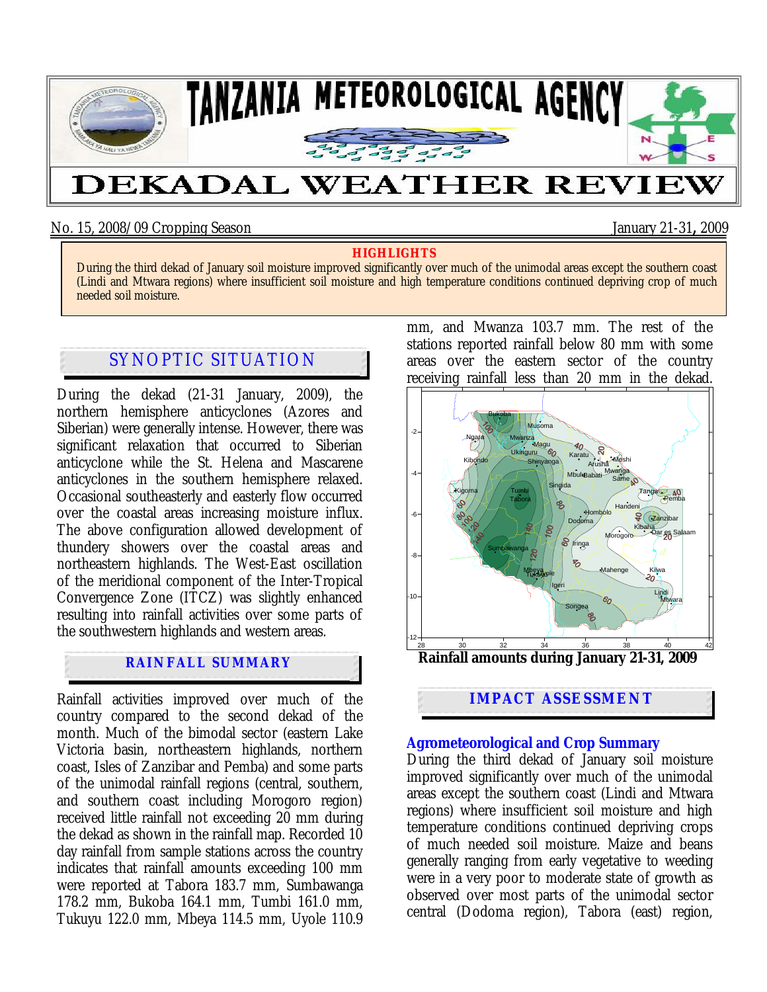

### No. 15, 2008/09 Cropping Season January 21-31**,** 2009

#### **HIGHLIGHTS**

During the third dekad of January soil moisture improved significantly over much of the unimodal areas except the southern coast (Lindi and Mtwara regions) where insufficient soil moisture and high temperature conditions continued depriving crop of much needed soil moisture.

# SYNOPTIC SITUATION

During the dekad (21-31 January, 2009), the northern hemisphere anticyclones (Azores and Siberian) were generally intense. However, there was significant relaxation that occurred to Siberian anticyclone while the St. Helena and Mascarene anticyclones in the southern hemisphere relaxed. Occasional southeasterly and easterly flow occurred over the coastal areas increasing moisture influx. The above configuration allowed development of thundery showers over the coastal areas and northeastern highlands. The West-East oscillation of the meridional component of the Inter-Tropical Convergence Zone (ITCZ) was slightly enhanced resulting into rainfall activities over some parts of the southwestern highlands and western areas.

## **RAINFALL SUMMARY**

Rainfall activities improved over much of the country compared to the second dekad of the month. Much of the bimodal sector (eastern Lake Victoria basin, northeastern highlands, northern coast, Isles of Zanzibar and Pemba) and some parts of the unimodal rainfall regions (central, southern, and southern coast including Morogoro region) received little rainfall not exceeding 20 mm during the dekad as shown in the rainfall map. Recorded 10 day rainfall from sample stations across the country indicates that rainfall amounts exceeding 100 mm were reported at Tabora 183.7 mm, Sumbawanga 178.2 mm, Bukoba 164.1 mm, Tumbi 161.0 mm, Tukuyu 122.0 mm, Mbeya 114.5 mm, Uyole 110.9

mm, and Mwanza 103.7 mm. The rest of the stations reported rainfall below 80 mm with some areas over the eastern sector of the country receiving rainfall less than 20 mm in the dekad.



#### **Agrometeorological and Crop Summary**

During the third dekad of January soil moisture improved significantly over much of the unimodal areas except the southern coast (Lindi and Mtwara regions) where insufficient soil moisture and high temperature conditions continued depriving crops of much needed soil moisture. Maize and beans generally ranging from early vegetative to weeding were in a very poor to moderate state of growth as observed over most parts of the unimodal sector central (Dodoma region), Tabora (east) region,